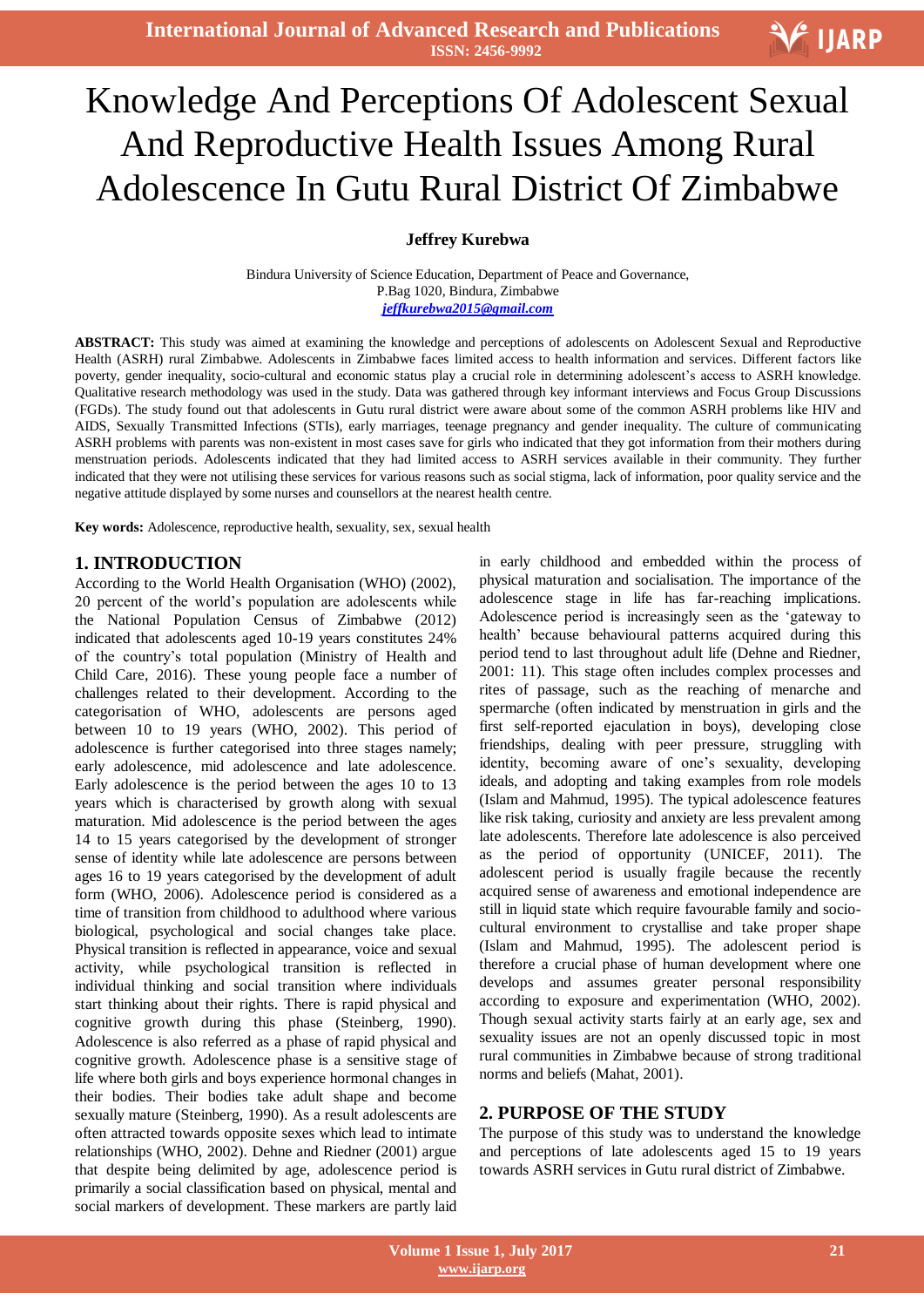**International Journal of Advanced Research and Publications ISSN: 2456-9992**

# Ī Knowledge And Perceptions Of Adolescent Sexual And Reproductive Health Issues Among Rural Adolescence In Gutu Rural District Of Zimbabwe

**Jeffrey Kurebwa**

Bindura University of Science Education, Department of Peace and Governance, P.Bag 1020, Bindura, Zimbabwe *jeffkurebwa2015@gmail.com*

**ABSTRACT:** This study was aimed at examining the knowledge and perceptions of adolescents on Adolescent Sexual and Reproductive Health (ASRH) rural Zimbabwe. Adolescents in Zimbabwe faces limited access to health information and services. Different factors like poverty, gender inequality, socio-cultural and economic status play a crucial role in determining adolescent"s access to ASRH knowledge. Qualitative research methodology was used in the study. Data was gathered through key informant interviews and Focus Group Discussions (FGDs). The study found out that adolescents in Gutu rural district were aware about some of the common ASRH problems like HIV and AIDS, Sexually Transmitted Infections (STIs), early marriages, teenage pregnancy and gender inequality. The culture of communicating ASRH problems with parents was non-existent in most cases save for girls who indicated that they got information from their mothers during menstruation periods. Adolescents indicated that they had limited access to ASRH services available in their community. They further indicated that they were not utilising these services for various reasons such as social stigma, lack of information, poor quality service and the negative attitude displayed by some nurses and counsellors at the nearest health centre.

**Key words:** Adolescence, reproductive health, sexuality, sex, sexual health

#### **1. INTRODUCTION**

According to the World Health Organisation (WHO) (2002), 20 percent of the world"s population are adolescents while the National Population Census of Zimbabwe (2012) indicated that adolescents aged 10-19 years constitutes 24% of the country"s total population (Ministry of Health and Child Care, 2016). These young people face a number of challenges related to their development. According to the categorisation of WHO, adolescents are persons aged between 10 to 19 years (WHO, 2002). This period of adolescence is further categorised into three stages namely; early adolescence, mid adolescence and late adolescence. Early adolescence is the period between the ages 10 to 13 years which is characterised by growth along with sexual maturation. Mid adolescence is the period between the ages 14 to 15 years categorised by the development of stronger sense of identity while late adolescence are persons between ages 16 to 19 years categorised by the development of adult form (WHO, 2006). Adolescence period is considered as a time of transition from childhood to adulthood where various biological, psychological and social changes take place. Physical transition is reflected in appearance, voice and sexual activity, while psychological transition is reflected in individual thinking and social transition where individuals start thinking about their rights. There is rapid physical and cognitive growth during this phase (Steinberg, 1990). Adolescence is also referred as a phase of rapid physical and cognitive growth. Adolescence phase is a sensitive stage of life where both girls and boys experience hormonal changes in their bodies. Their bodies take adult shape and become sexually mature (Steinberg, 1990). As a result adolescents are often attracted towards opposite sexes which lead to intimate relationships (WHO, 2002). Dehne and Riedner (2001) argue that despite being delimited by age, adolescence period is primarily a social classification based on physical, mental and social markers of development. These markers are partly laid

in early childhood and embedded within the process of physical maturation and socialisation. The importance of the adolescence stage in life has far-reaching implications. Adolescence period is increasingly seen as the "gateway to health" because behavioural patterns acquired during this period tend to last throughout adult life (Dehne and Riedner, 2001: 11). This stage often includes complex processes and rites of passage, such as the reaching of menarche and spermarche (often indicated by menstruation in girls and the first self-reported ejaculation in boys), developing close friendships, dealing with peer pressure, struggling with identity, becoming aware of one's sexuality, developing ideals, and adopting and taking examples from role models (Islam and Mahmud, 1995). The typical adolescence features like risk taking, curiosity and anxiety are less prevalent among late adolescents. Therefore late adolescence is also perceived as the period of opportunity (UNICEF, 2011). The adolescent period is usually fragile because the recently acquired sense of awareness and emotional independence are still in liquid state which require favourable family and sociocultural environment to crystallise and take proper shape (Islam and Mahmud, 1995). The adolescent period is therefore a crucial phase of human development where one develops and assumes greater personal responsibility according to exposure and experimentation (WHO, 2002). Though sexual activity starts fairly at an early age, sex and sexuality issues are not an openly discussed topic in most rural communities in Zimbabwe because of strong traditional norms and beliefs (Mahat, 2001).

## **2. PURPOSE OF THE STUDY**

The purpose of this study was to understand the knowledge and perceptions of late adolescents aged 15 to 19 years towards ASRH services in Gutu rural district of Zimbabwe.

V IJARP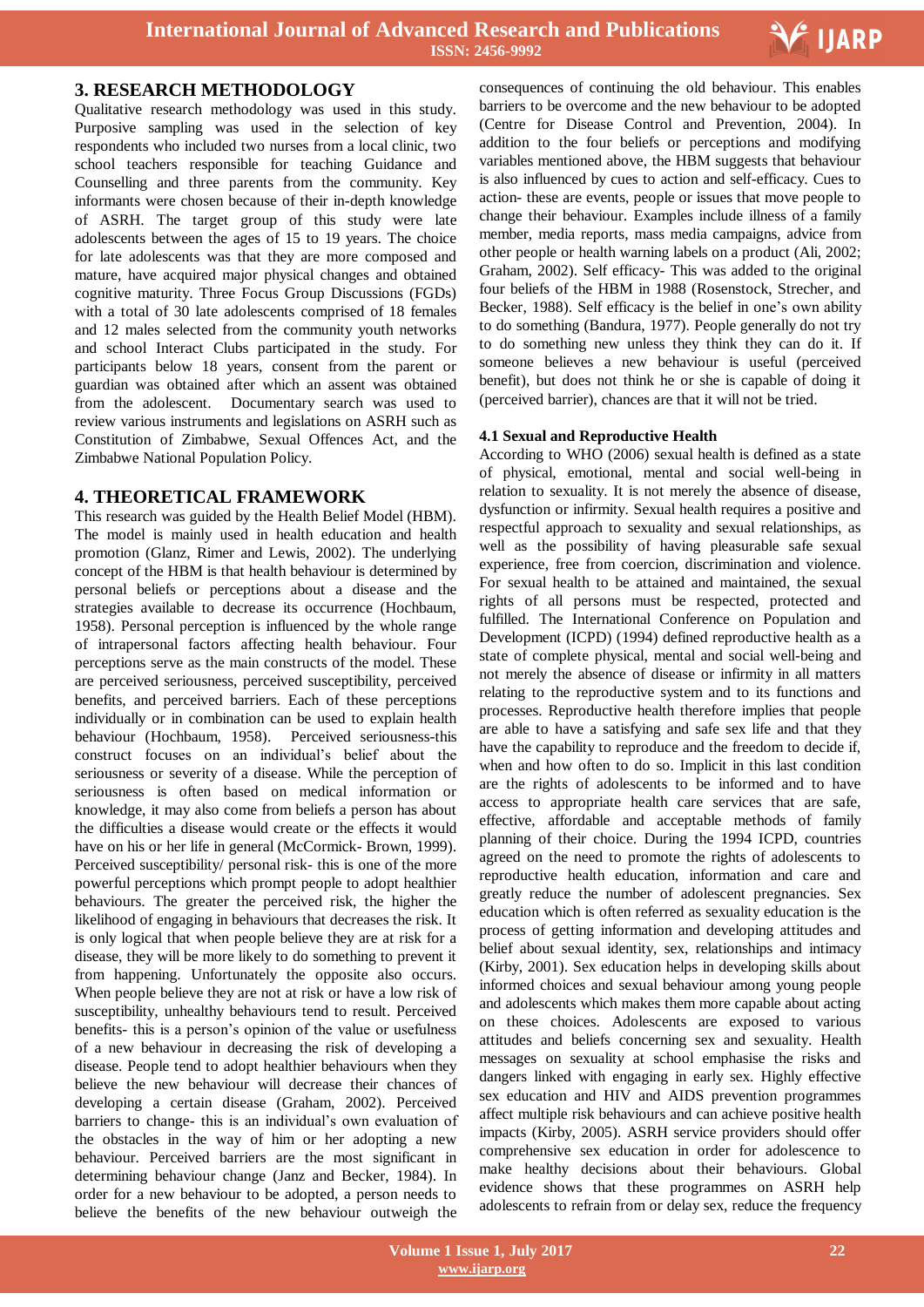

## **3. RESEARCH METHODOLOGY**

Qualitative research methodology was used in this study. Purposive sampling was used in the selection of key respondents who included two nurses from a local clinic, two school teachers responsible for teaching Guidance and Counselling and three parents from the community. Key informants were chosen because of their in-depth knowledge of ASRH. The target group of this study were late adolescents between the ages of 15 to 19 years. The choice for late adolescents was that they are more composed and mature, have acquired major physical changes and obtained cognitive maturity. Three Focus Group Discussions (FGDs) with a total of 30 late adolescents comprised of 18 females and 12 males selected from the community youth networks and school Interact Clubs participated in the study. For participants below 18 years, consent from the parent or guardian was obtained after which an assent was obtained from the adolescent. Documentary search was used to review various instruments and legislations on ASRH such as Constitution of Zimbabwe, Sexual Offences Act, and the Zimbabwe National Population Policy.

#### **4. THEORETICAL FRAMEWORK**

This research was guided by the Health Belief Model (HBM). The model is mainly used in health education and health promotion (Glanz, Rimer and Lewis, 2002). The underlying concept of the HBM is that health behaviour is determined by personal beliefs or perceptions about a disease and the strategies available to decrease its occurrence (Hochbaum, 1958). Personal perception is influenced by the whole range of intrapersonal factors affecting health behaviour. Four perceptions serve as the main constructs of the model. These are perceived seriousness, perceived susceptibility, perceived benefits, and perceived barriers. Each of these perceptions individually or in combination can be used to explain health behaviour (Hochbaum, 1958). Perceived seriousness-this construct focuses on an individual"s belief about the seriousness or severity of a disease. While the perception of seriousness is often based on medical information or knowledge, it may also come from beliefs a person has about the difficulties a disease would create or the effects it would have on his or her life in general (McCormick- Brown, 1999). Perceived susceptibility/ personal risk- this is one of the more powerful perceptions which prompt people to adopt healthier behaviours. The greater the perceived risk, the higher the likelihood of engaging in behaviours that decreases the risk. It is only logical that when people believe they are at risk for a disease, they will be more likely to do something to prevent it from happening. Unfortunately the opposite also occurs. When people believe they are not at risk or have a low risk of susceptibility, unhealthy behaviours tend to result. Perceived benefits- this is a person"s opinion of the value or usefulness of a new behaviour in decreasing the risk of developing a disease. People tend to adopt healthier behaviours when they believe the new behaviour will decrease their chances of developing a certain disease (Graham, 2002). Perceived barriers to change- this is an individual's own evaluation of the obstacles in the way of him or her adopting a new behaviour. Perceived barriers are the most significant in determining behaviour change (Janz and Becker, 1984). In order for a new behaviour to be adopted, a person needs to believe the benefits of the new behaviour outweigh the

 consequences of continuing the old behaviour. This enables barriers to be overcome and the new behaviour to be adopted (Centre for Disease Control and Prevention, 2004). In addition to the four beliefs or perceptions and modifying variables mentioned above, the HBM suggests that behaviour is also influenced by cues to action and self-efficacy. Cues to action- these are events, people or issues that move people to change their behaviour. Examples include illness of a family member, media reports, mass media campaigns, advice from other people or health warning labels on a product (Ali, 2002; Graham, 2002). Self efficacy- This was added to the original four beliefs of the HBM in 1988 (Rosenstock, Strecher, and Becker, 1988). Self efficacy is the belief in one's own ability to do something (Bandura, 1977). People generally do not try to do something new unless they think they can do it. If someone believes a new behaviour is useful (perceived benefit), but does not think he or she is capable of doing it (perceived barrier), chances are that it will not be tried.

#### **4.1 Sexual and Reproductive Health**

According to WHO (2006) sexual health is defined as a state of physical, emotional, mental and social well-being in relation to sexuality. It is not merely the absence of disease, dysfunction or infirmity. Sexual health requires a positive and respectful approach to sexuality and sexual relationships, as well as the possibility of having pleasurable safe sexual experience, free from coercion, discrimination and violence. For sexual health to be attained and maintained, the sexual rights of all persons must be respected, protected and fulfilled. The International Conference on Population and Development (ICPD) (1994) defined reproductive health as a state of complete physical, mental and social well-being and not merely the absence of disease or infirmity in all matters relating to the reproductive system and to its functions and processes. Reproductive health therefore implies that people are able to have a satisfying and safe sex life and that they have the capability to reproduce and the freedom to decide if, when and how often to do so. Implicit in this last condition are the rights of adolescents to be informed and to have access to appropriate health care services that are safe, effective, affordable and acceptable methods of family planning of their choice. During the 1994 ICPD, countries agreed on the need to promote the rights of adolescents to reproductive health education, information and care and greatly reduce the number of adolescent pregnancies. Sex education which is often referred as sexuality education is the process of getting information and developing attitudes and belief about sexual identity, sex, relationships and intimacy (Kirby, 2001). Sex education helps in developing skills about informed choices and sexual behaviour among young people and adolescents which makes them more capable about acting on these choices. Adolescents are exposed to various attitudes and beliefs concerning sex and sexuality. Health messages on sexuality at school emphasise the risks and dangers linked with engaging in early sex. Highly effective sex education and HIV and AIDS prevention programmes affect multiple risk behaviours and can achieve positive health impacts (Kirby, 2005). ASRH service providers should offer comprehensive sex education in order for adolescence to make healthy decisions about their behaviours. Global evidence shows that these programmes on ASRH help adolescents to refrain from or delay sex, reduce the frequency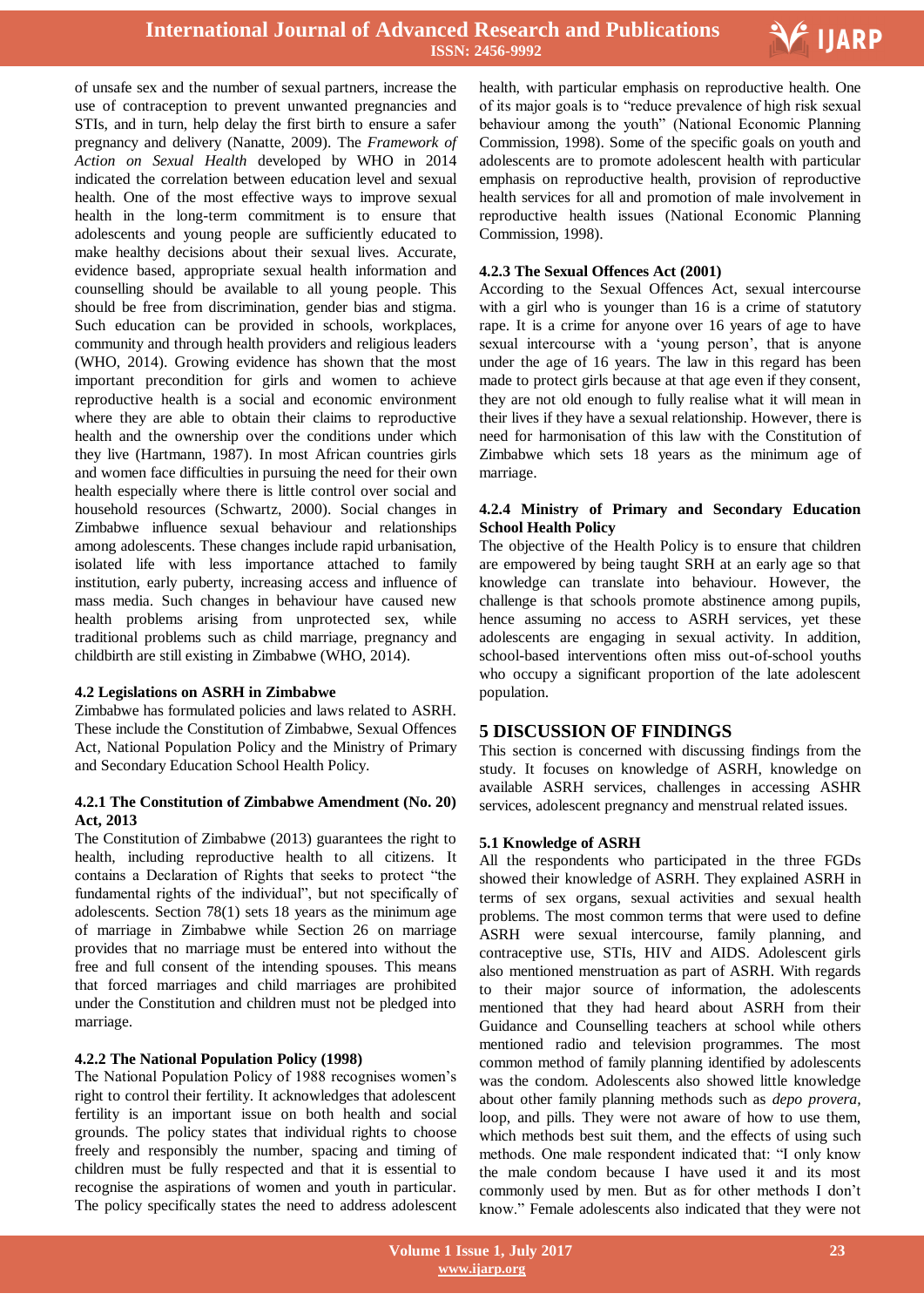

of unsafe sex and the number of sexual partners, increase the use of contraception to prevent unwanted pregnancies and STIs, and in turn, help delay the first birth to ensure a safer pregnancy and delivery (Nanatte, 2009). The *Framework of Action on Sexual Health* developed by WHO in 2014 indicated the correlation between education level and sexual health. One of the most effective ways to improve sexual health in the long-term commitment is to ensure that adolescents and young people are sufficiently educated to make healthy decisions about their sexual lives. Accurate, evidence based, appropriate sexual health information and counselling should be available to all young people. This should be free from discrimination, gender bias and stigma. Such education can be provided in schools, workplaces, community and through health providers and religious leaders (WHO, 2014). Growing evidence has shown that the most important precondition for girls and women to achieve reproductive health is a social and economic environment where they are able to obtain their claims to reproductive health and the ownership over the conditions under which they live (Hartmann, 1987). In most African countries girls and women face difficulties in pursuing the need for their own health especially where there is little control over social and household resources (Schwartz, 2000). Social changes in Zimbabwe influence sexual behaviour and relationships among adolescents. These changes include rapid urbanisation, isolated life with less importance attached to family institution, early puberty, increasing access and influence of mass media. Such changes in behaviour have caused new health problems arising from unprotected sex, while traditional problems such as child marriage, pregnancy and childbirth are still existing in Zimbabwe (WHO, 2014).

#### **4.2 Legislations on ASRH in Zimbabwe**

Zimbabwe has formulated policies and laws related to ASRH. These include the Constitution of Zimbabwe, Sexual Offences Act, National Population Policy and the Ministry of Primary and Secondary Education School Health Policy.

## **4.2.1 The Constitution of Zimbabwe Amendment (No. 20) Act, 2013**

The Constitution of Zimbabwe (2013) guarantees the right to health, including reproductive health to all citizens. It contains a Declaration of Rights that seeks to protect "the fundamental rights of the individual", but not specifically of adolescents. Section 78(1) sets 18 years as the minimum age of marriage in Zimbabwe while Section 26 on marriage provides that no marriage must be entered into without the free and full consent of the intending spouses. This means that forced marriages and child marriages are prohibited under the Constitution and children must not be pledged into marriage.

## **4.2.2 The National Population Policy (1998)**

The National Population Policy of 1988 recognises women"s right to control their fertility. It acknowledges that adolescent fertility is an important issue on both health and social grounds. The policy states that individual rights to choose freely and responsibly the number, spacing and timing of children must be fully respected and that it is essential to recognise the aspirations of women and youth in particular. The policy specifically states the need to address adolescent

 health, with particular emphasis on reproductive health. One of its major goals is to "reduce prevalence of high risk sexual behaviour among the youth" (National Economic Planning Commission, 1998). Some of the specific goals on youth and adolescents are to promote adolescent health with particular emphasis on reproductive health, provision of reproductive health services for all and promotion of male involvement in reproductive health issues (National Economic Planning Commission, 1998).

## **4.2.3 The Sexual Offences Act (2001)**

According to the Sexual Offences Act, sexual intercourse with a girl who is younger than 16 is a crime of statutory rape. It is a crime for anyone over 16 years of age to have sexual intercourse with a "young person", that is anyone under the age of 16 years. The law in this regard has been made to protect girls because at that age even if they consent, they are not old enough to fully realise what it will mean in their lives if they have a sexual relationship. However, there is need for harmonisation of this law with the Constitution of Zimbabwe which sets 18 years as the minimum age of marriage.

#### **4.2.4 Ministry of Primary and Secondary Education School Health Policy**

The objective of the Health Policy is to ensure that children are empowered by being taught SRH at an early age so that knowledge can translate into behaviour. However, the challenge is that schools promote abstinence among pupils, hence assuming no access to ASRH services, yet these adolescents are engaging in sexual activity. In addition, school-based interventions often miss out-of-school youths who occupy a significant proportion of the late adolescent population.

# **5 DISCUSSION OF FINDINGS**

This section is concerned with discussing findings from the study. It focuses on knowledge of ASRH, knowledge on available ASRH services, challenges in accessing ASHR services, adolescent pregnancy and menstrual related issues.

## **5.1 Knowledge of ASRH**

All the respondents who participated in the three FGDs showed their knowledge of ASRH. They explained ASRH in terms of sex organs, sexual activities and sexual health problems. The most common terms that were used to define ASRH were sexual intercourse, family planning, and contraceptive use, STIs, HIV and AIDS. Adolescent girls also mentioned menstruation as part of ASRH. With regards to their major source of information, the adolescents mentioned that they had heard about ASRH from their Guidance and Counselling teachers at school while others mentioned radio and television programmes. The most common method of family planning identified by adolescents was the condom. Adolescents also showed little knowledge about other family planning methods such as *depo provera,* loop, and pills. They were not aware of how to use them, which methods best suit them, and the effects of using such methods. One male respondent indicated that: "I only know the male condom because I have used it and its most commonly used by men. But as for other methods I don"t know." Female adolescents also indicated that they were not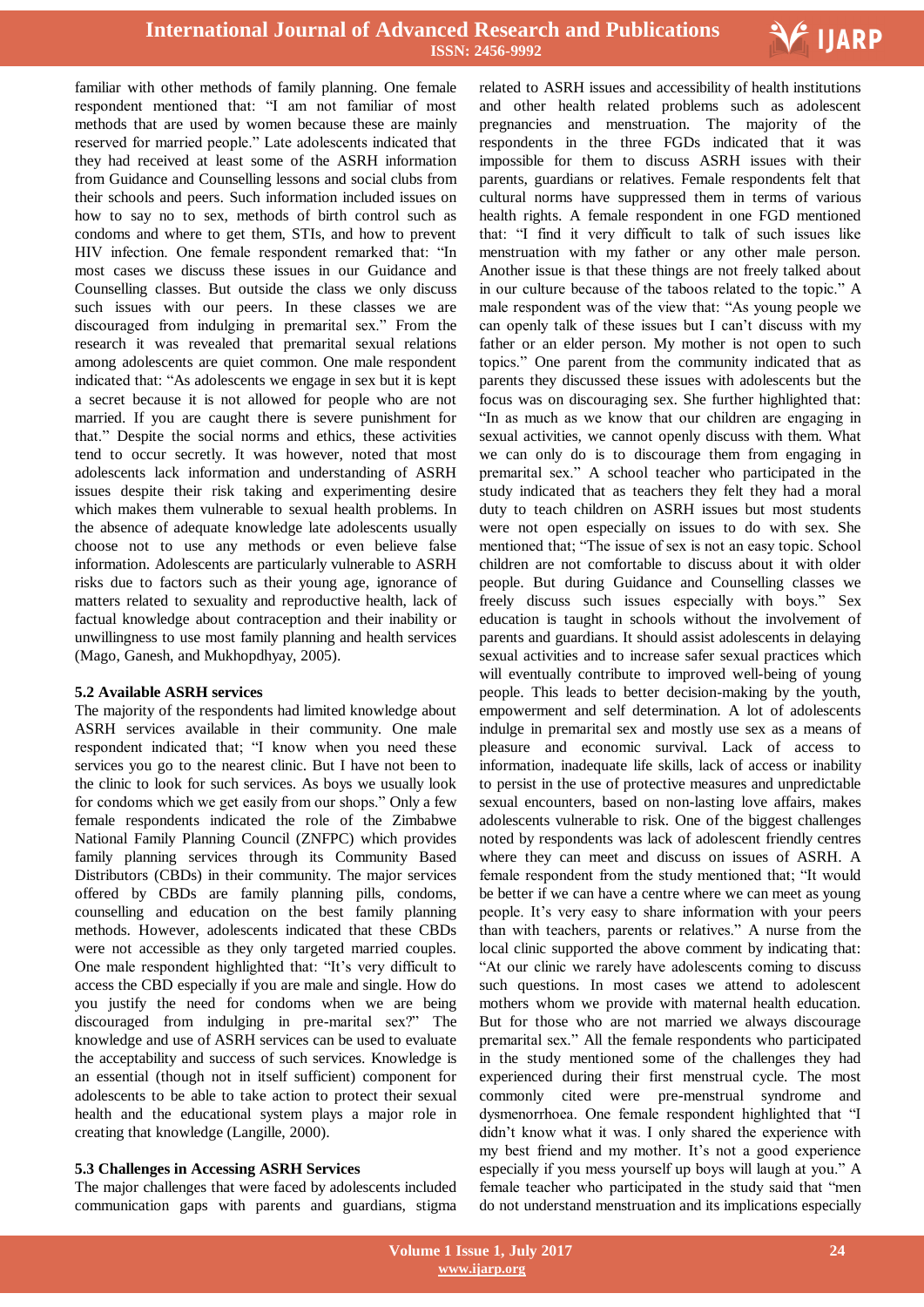

familiar with other methods of family planning. One female respondent mentioned that: "I am not familiar of most methods that are used by women because these are mainly reserved for married people." Late adolescents indicated that they had received at least some of the ASRH information from Guidance and Counselling lessons and social clubs from their schools and peers. Such information included issues on how to say no to sex, methods of birth control such as condoms and where to get them, STIs, and how to prevent HIV infection. One female respondent remarked that: "In most cases we discuss these issues in our Guidance and Counselling classes. But outside the class we only discuss such issues with our peers. In these classes we are discouraged from indulging in premarital sex." From the research it was revealed that premarital sexual relations among adolescents are quiet common. One male respondent indicated that: "As adolescents we engage in sex but it is kept a secret because it is not allowed for people who are not married. If you are caught there is severe punishment for that." Despite the social norms and ethics, these activities tend to occur secretly. It was however, noted that most adolescents lack information and understanding of ASRH issues despite their risk taking and experimenting desire which makes them vulnerable to sexual health problems. In the absence of adequate knowledge late adolescents usually choose not to use any methods or even believe false information. Adolescents are particularly vulnerable to ASRH risks due to factors such as their young age, ignorance of matters related to sexuality and reproductive health, lack of factual knowledge about contraception and their inability or unwillingness to use most family planning and health services (Mago, Ganesh, and Mukhopdhyay, 2005).

#### **5.2 Available ASRH services**

The majority of the respondents had limited knowledge about ASRH services available in their community. One male respondent indicated that; "I know when you need these services you go to the nearest clinic. But I have not been to the clinic to look for such services. As boys we usually look for condoms which we get easily from our shops." Only a few female respondents indicated the role of the Zimbabwe National Family Planning Council (ZNFPC) which provides family planning services through its Community Based Distributors (CBDs) in their community. The major services offered by CBDs are family planning pills, condoms, counselling and education on the best family planning methods. However, adolescents indicated that these CBDs were not accessible as they only targeted married couples. One male respondent highlighted that: "It"s very difficult to access the CBD especially if you are male and single. How do you justify the need for condoms when we are being discouraged from indulging in pre-marital sex?" The knowledge and use of ASRH services can be used to evaluate the acceptability and success of such services. Knowledge is an essential (though not in itself sufficient) component for adolescents to be able to take action to protect their sexual health and the educational system plays a major role in creating that knowledge (Langille, 2000).

## **5.3 Challenges in Accessing ASRH Services**

The major challenges that were faced by adolescents included communication gaps with parents and guardians, stigma

 related to ASRH issues and accessibility of health institutions and other health related problems such as adolescent pregnancies and menstruation. The majority of the respondents in the three FGDs indicated that it was impossible for them to discuss ASRH issues with their parents, guardians or relatives. Female respondents felt that cultural norms have suppressed them in terms of various health rights. A female respondent in one FGD mentioned that: "I find it very difficult to talk of such issues like menstruation with my father or any other male person. Another issue is that these things are not freely talked about in our culture because of the taboos related to the topic." A male respondent was of the view that: "As young people we can openly talk of these issues but I can"t discuss with my father or an elder person. My mother is not open to such topics." One parent from the community indicated that as parents they discussed these issues with adolescents but the focus was on discouraging sex. She further highlighted that: "In as much as we know that our children are engaging in sexual activities, we cannot openly discuss with them. What we can only do is to discourage them from engaging in premarital sex." A school teacher who participated in the study indicated that as teachers they felt they had a moral duty to teach children on ASRH issues but most students were not open especially on issues to do with sex. She mentioned that; "The issue of sex is not an easy topic. School children are not comfortable to discuss about it with older people. But during Guidance and Counselling classes we freely discuss such issues especially with boys." Sex education is taught in schools without the involvement of parents and guardians. It should assist adolescents in delaying sexual activities and to increase safer sexual practices which will eventually contribute to improved well-being of young people. This leads to better decision-making by the youth, empowerment and self determination. A lot of adolescents indulge in premarital sex and mostly use sex as a means of pleasure and economic survival. Lack of access to information, inadequate life skills, lack of access or inability to persist in the use of protective measures and unpredictable sexual encounters, based on non-lasting love affairs, makes adolescents vulnerable to risk. One of the biggest challenges noted by respondents was lack of adolescent friendly centres where they can meet and discuss on issues of ASRH. A female respondent from the study mentioned that; "It would be better if we can have a centre where we can meet as young people. It"s very easy to share information with your peers than with teachers, parents or relatives." A nurse from the local clinic supported the above comment by indicating that: "At our clinic we rarely have adolescents coming to discuss such questions. In most cases we attend to adolescent mothers whom we provide with maternal health education. But for those who are not married we always discourage premarital sex." All the female respondents who participated in the study mentioned some of the challenges they had experienced during their first menstrual cycle. The most commonly cited were pre-menstrual syndrome and dysmenorrhoea. One female respondent highlighted that "I didn"t know what it was. I only shared the experience with my best friend and my mother. It's not a good experience especially if you mess yourself up boys will laugh at you." A female teacher who participated in the study said that "men do not understand menstruation and its implications especially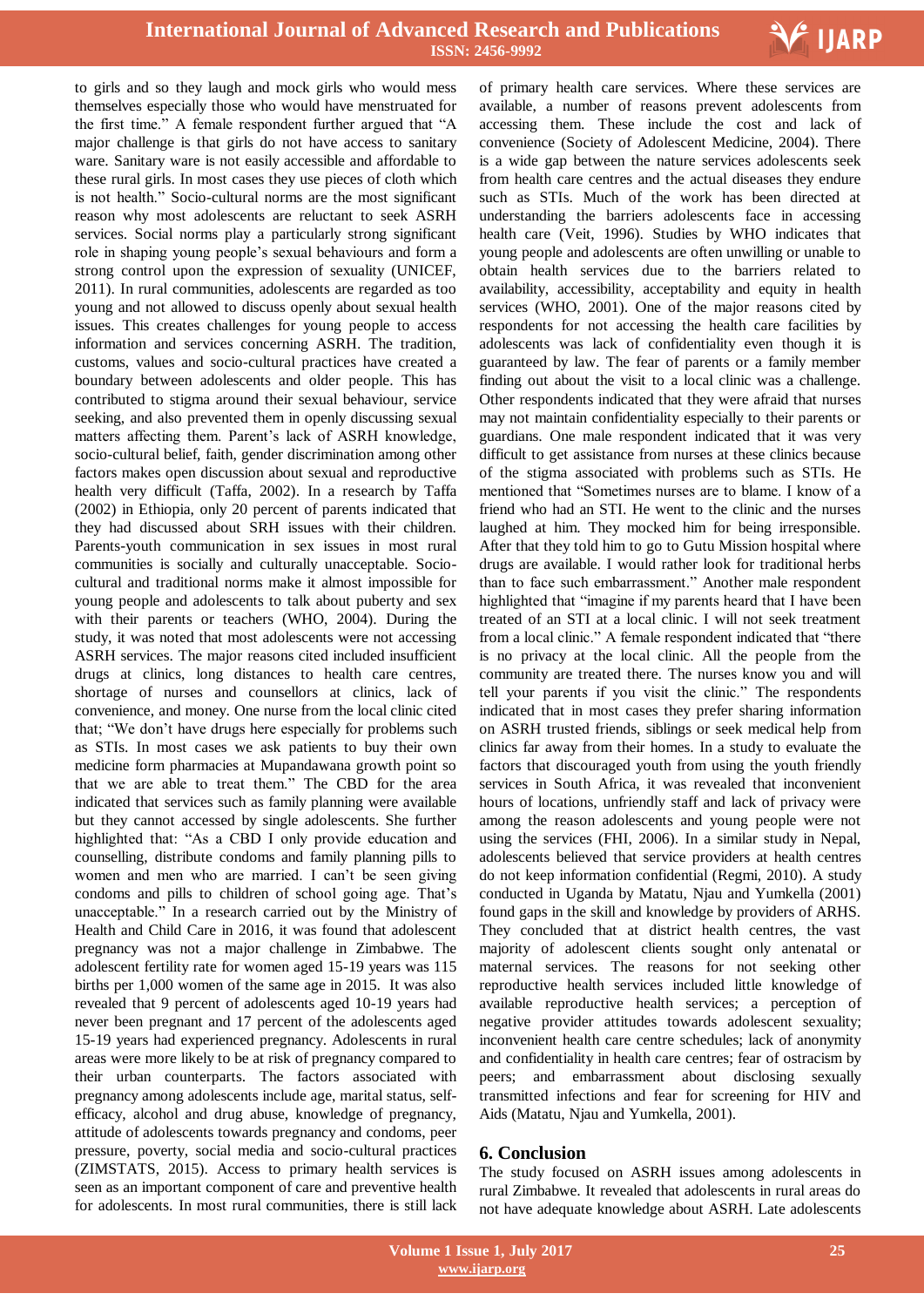

to girls and so they laugh and mock girls who would mess themselves especially those who would have menstruated for the first time." A female respondent further argued that "A major challenge is that girls do not have access to sanitary ware. Sanitary ware is not easily accessible and affordable to these rural girls. In most cases they use pieces of cloth which is not health." Socio-cultural norms are the most significant reason why most adolescents are reluctant to seek ASRH services. Social norms play a particularly strong significant role in shaping young people"s sexual behaviours and form a strong control upon the expression of sexuality (UNICEF, 2011). In rural communities, adolescents are regarded as too young and not allowed to discuss openly about sexual health issues. This creates challenges for young people to access information and services concerning ASRH. The tradition, customs, values and socio-cultural practices have created a boundary between adolescents and older people. This has contributed to stigma around their sexual behaviour, service seeking, and also prevented them in openly discussing sexual matters affecting them. Parent's lack of ASRH knowledge, socio-cultural belief, faith, gender discrimination among other factors makes open discussion about sexual and reproductive health very difficult (Taffa, 2002). In a research by Taffa (2002) in Ethiopia, only 20 percent of parents indicated that they had discussed about SRH issues with their children. Parents-youth communication in sex issues in most rural communities is socially and culturally unacceptable. Sociocultural and traditional norms make it almost impossible for young people and adolescents to talk about puberty and sex with their parents or teachers (WHO, 2004). During the study, it was noted that most adolescents were not accessing ASRH services. The major reasons cited included insufficient drugs at clinics, long distances to health care centres, shortage of nurses and counsellors at clinics, lack of convenience, and money. One nurse from the local clinic cited that; "We don"t have drugs here especially for problems such as STIs. In most cases we ask patients to buy their own medicine form pharmacies at Mupandawana growth point so that we are able to treat them." The CBD for the area indicated that services such as family planning were available but they cannot accessed by single adolescents. She further highlighted that: "As a CBD I only provide education and counselling, distribute condoms and family planning pills to women and men who are married. I can't be seen giving condoms and pills to children of school going age. That"s unacceptable." In a research carried out by the Ministry of Health and Child Care in 2016, it was found that adolescent pregnancy was not a major challenge in Zimbabwe. The adolescent fertility rate for women aged 15-19 years was 115 births per 1,000 women of the same age in 2015. It was also revealed that 9 percent of adolescents aged 10-19 years had never been pregnant and 17 percent of the adolescents aged 15-19 years had experienced pregnancy. Adolescents in rural areas were more likely to be at risk of pregnancy compared to their urban counterparts. The factors associated with pregnancy among adolescents include age, marital status, selfefficacy, alcohol and drug abuse, knowledge of pregnancy, attitude of adolescents towards pregnancy and condoms, peer pressure, poverty, social media and socio-cultural practices (ZIMSTATS, 2015). Access to primary health services is seen as an important component of care and preventive health for adolescents. In most rural communities, there is still lack

 of primary health care services. Where these services are available, a number of reasons prevent adolescents from accessing them. These include the cost and lack of convenience (Society of Adolescent Medicine, 2004). There is a wide gap between the nature services adolescents seek from health care centres and the actual diseases they endure such as STIs. Much of the work has been directed at understanding the barriers adolescents face in accessing health care (Veit, 1996). Studies by WHO indicates that young people and adolescents are often unwilling or unable to obtain health services due to the barriers related to availability, accessibility, acceptability and equity in health services (WHO, 2001). One of the major reasons cited by respondents for not accessing the health care facilities by adolescents was lack of confidentiality even though it is guaranteed by law. The fear of parents or a family member finding out about the visit to a local clinic was a challenge. Other respondents indicated that they were afraid that nurses may not maintain confidentiality especially to their parents or guardians. One male respondent indicated that it was very difficult to get assistance from nurses at these clinics because of the stigma associated with problems such as STIs. He mentioned that "Sometimes nurses are to blame. I know of a friend who had an STI. He went to the clinic and the nurses laughed at him. They mocked him for being irresponsible. After that they told him to go to Gutu Mission hospital where drugs are available. I would rather look for traditional herbs than to face such embarrassment." Another male respondent highlighted that "imagine if my parents heard that I have been treated of an STI at a local clinic. I will not seek treatment from a local clinic." A female respondent indicated that "there is no privacy at the local clinic. All the people from the community are treated there. The nurses know you and will tell your parents if you visit the clinic." The respondents indicated that in most cases they prefer sharing information on ASRH trusted friends, siblings or seek medical help from clinics far away from their homes. In a study to evaluate the factors that discouraged youth from using the youth friendly services in South Africa, it was revealed that inconvenient hours of locations, unfriendly staff and lack of privacy were among the reason adolescents and young people were not using the services (FHI, 2006). In a similar study in Nepal, adolescents believed that service providers at health centres do not keep information confidential (Regmi, 2010). A study conducted in Uganda by Matatu, Njau and Yumkella (2001) found gaps in the skill and knowledge by providers of ARHS. They concluded that at district health centres, the vast majority of adolescent clients sought only antenatal or maternal services. The reasons for not seeking other reproductive health services included little knowledge of available reproductive health services; a perception of negative provider attitudes towards adolescent sexuality; inconvenient health care centre schedules; lack of anonymity and confidentiality in health care centres; fear of ostracism by peers; and embarrassment about disclosing sexually transmitted infections and fear for screening for HIV and Aids (Matatu, Njau and Yumkella, 2001).

## **6. Conclusion**

The study focused on ASRH issues among adolescents in rural Zimbabwe. It revealed that adolescents in rural areas do not have adequate knowledge about ASRH. Late adolescents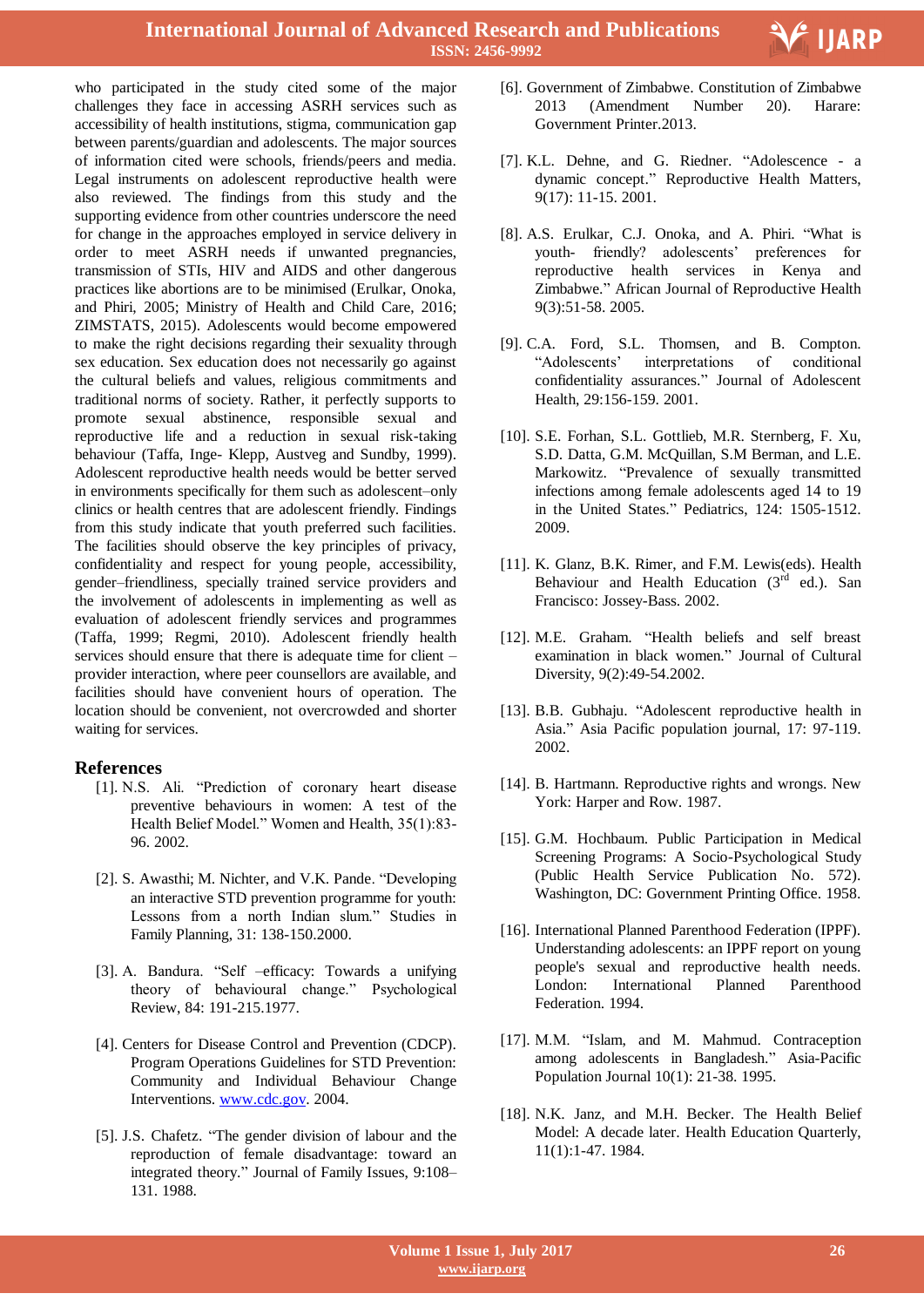

who participated in the study cited some of the major challenges they face in accessing ASRH services such as accessibility of health institutions, stigma, communication gap between parents/guardian and adolescents. The major sources of information cited were schools, friends/peers and media. Legal instruments on adolescent reproductive health were also reviewed. The findings from this study and the supporting evidence from other countries underscore the need for change in the approaches employed in service delivery in order to meet ASRH needs if unwanted pregnancies, transmission of STIs, HIV and AIDS and other dangerous practices like abortions are to be minimised (Erulkar, Onoka, and Phiri, 2005; Ministry of Health and Child Care, 2016; ZIMSTATS, 2015). Adolescents would become empowered to make the right decisions regarding their sexuality through sex education. Sex education does not necessarily go against the cultural beliefs and values, religious commitments and traditional norms of society. Rather, it perfectly supports to promote sexual abstinence, responsible sexual and reproductive life and a reduction in sexual risk-taking behaviour (Taffa, Inge- Klepp, Austveg and Sundby, 1999). Adolescent reproductive health needs would be better served in environments specifically for them such as adolescent–only clinics or health centres that are adolescent friendly. Findings from this study indicate that youth preferred such facilities. The facilities should observe the key principles of privacy, confidentiality and respect for young people, accessibility, gender–friendliness, specially trained service providers and the involvement of adolescents in implementing as well as evaluation of adolescent friendly services and programmes (Taffa, 1999; Regmi, 2010). Adolescent friendly health services should ensure that there is adequate time for client – provider interaction, where peer counsellors are available, and facilities should have convenient hours of operation. The location should be convenient, not overcrowded and shorter waiting for services.

# **References**

- [1]. N.S. Ali. "Prediction of coronary heart disease preventive behaviours in women: A test of the Health Belief Model." Women and Health, 35(1):83- 96. 2002.
- [2]. S. Awasthi; M. Nichter, and V.K. Pande. "Developing an interactive STD prevention programme for youth: Lessons from a north Indian slum." Studies in Family Planning, 31: 138-150.2000.
- [3]. A. Bandura. "Self –efficacy: Towards a unifying theory of behavioural change." Psychological Review, 84: 191-215.1977.
- [4]. Centers for Disease Control and Prevention (CDCP). Program Operations Guidelines for STD Prevention: Community and Individual Behaviour Change Interventions. www.cdc.gov. 2004.
- [5]. J.S. Chafetz. "The gender division of labour and the reproduction of female disadvantage: toward an integrated theory." Journal of Family Issues, 9:108– 131. 1988.
- [6]. Government of Zimbabwe. Constitution of Zimbabwe 2013 (Amendment Number 20). Harare: Government Printer.2013.
- [7]. K.L. Dehne, and G. Riedner. "Adolescence a dynamic concept." Reproductive Health Matters, 9(17): 11-15. 2001.
- [8]. A.S. Erulkar, C.J. Onoka, and A. Phiri. "What is youth- friendly? adolescents' preferences for reproductive health services in Kenya and Zimbabwe." African Journal of Reproductive Health 9(3):51-58. 2005.
- [9]. C.A. Ford, S.L. Thomsen, and B. Compton. "Adolescents" interpretations of conditional confidentiality assurances." Journal of Adolescent Health, 29:156-159. 2001.
- [10]. S.E. Forhan, S.L. Gottlieb, M.R. Sternberg, F. Xu, S.D. Datta, G.M. McQuillan, S.M Berman, and L.E. Markowitz. "Prevalence of sexually transmitted infections among female adolescents aged 14 to 19 in the United States." Pediatrics, 124: 1505-1512. 2009.
- [11]. K. Glanz, B.K. Rimer, and F.M. Lewis(eds). Health Behaviour and Health Education  $(3<sup>rd</sup>$  ed.). San Francisco: Jossey-Bass. 2002.
- [12]. M.E. Graham. "Health beliefs and self breast examination in black women." Journal of Cultural Diversity, 9(2):49-54.2002.
- [13]. B.B. Gubhaju. "Adolescent reproductive health in Asia." Asia Pacific population journal, 17: 97-119. 2002.
- [14]. B. Hartmann. Reproductive rights and wrongs. New York: Harper and Row. 1987.
- [15]. G.M. Hochbaum. Public Participation in Medical Screening Programs: A Socio-Psychological Study (Public Health Service Publication No. 572). Washington, DC: Government Printing Office. 1958.
- [16]. International Planned Parenthood Federation (IPPF). Understanding adolescents: an IPPF report on young people's sexual and reproductive health needs. London: International Planned Parenthood Federation. 1994.
- [17]. M.M. "Islam, and M. Mahmud. Contraception among adolescents in Bangladesh." Asia-Pacific Population Journal 10(1): 21-38. 1995.
- [18]. N.K. Janz, and M.H. Becker. The Health Belief Model: A decade later. Health Education Quarterly, 11(1):1-47. 1984.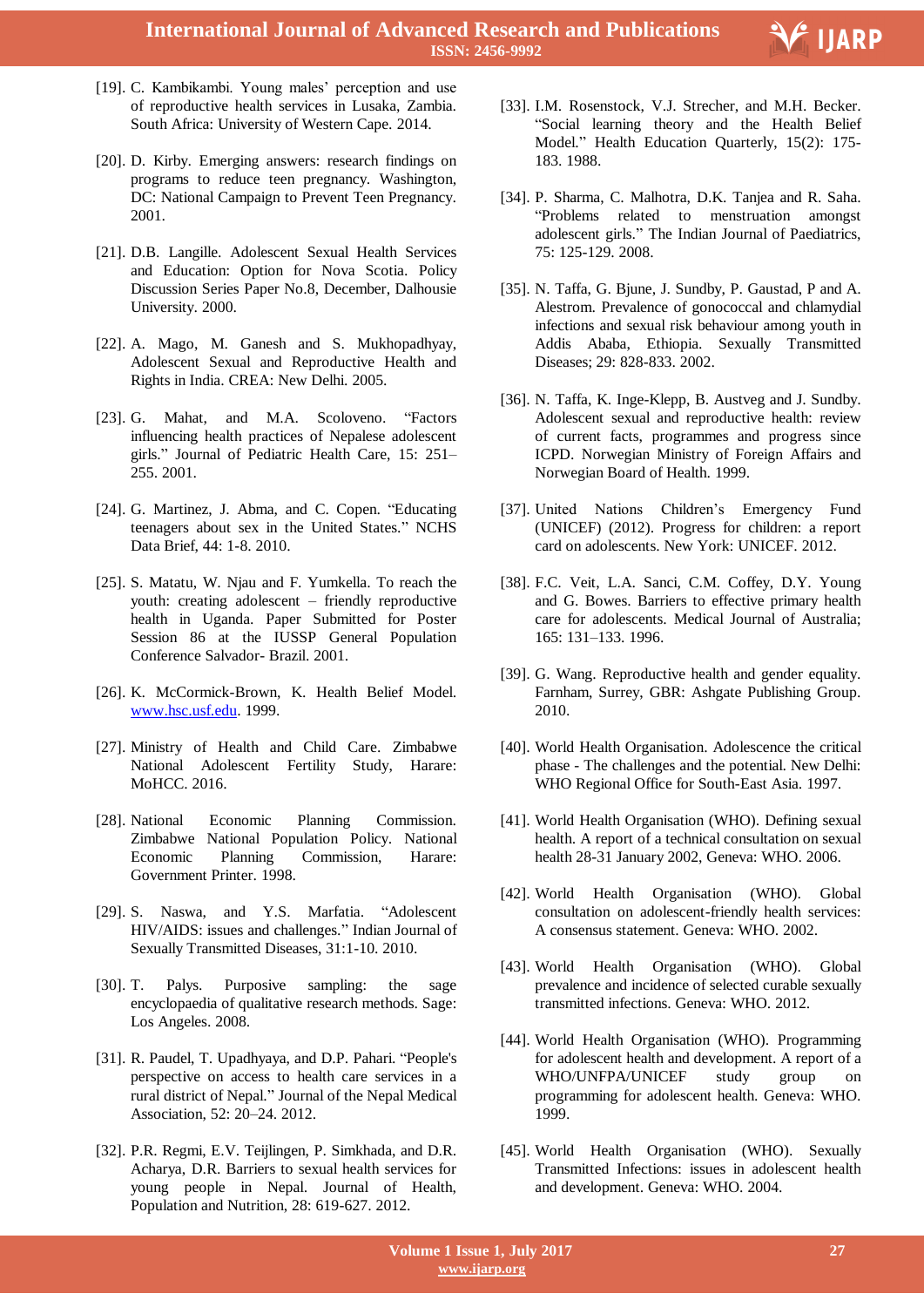

Ξ

- [19]. C. Kambikambi. Young males' perception and use of reproductive health services in Lusaka, Zambia. South Africa: University of Western Cape. 2014.
- [20]. D. Kirby. Emerging answers: research findings on programs to reduce teen pregnancy. Washington, DC: National Campaign to Prevent Teen Pregnancy. 2001.
- [21]. D.B. Langille. Adolescent Sexual Health Services and Education: Option for Nova Scotia. Policy Discussion Series Paper No.8, December, Dalhousie University. 2000.
- [22]. A. Mago, M. Ganesh and S. Mukhopadhyay, Adolescent Sexual and Reproductive Health and Rights in India. CREA: New Delhi. 2005.
- [23]. G. Mahat, and M.A. Scoloveno. "Factors influencing health practices of Nepalese adolescent girls." Journal of Pediatric Health Care, 15: 251– 255. 2001.
- [24]. G. Martinez, J. Abma, and C. Copen. "Educating teenagers about sex in the United States." NCHS Data Brief, 44: 1-8. 2010.
- [25]. S. Matatu, W. Njau and F. Yumkella. To reach the youth: creating adolescent – friendly reproductive health in Uganda. Paper Submitted for Poster Session 86 at the IUSSP General Population Conference Salvador- Brazil. 2001.
- [26]. K. McCormick-Brown, K. Health Belief Model. www.hsc.usf.edu. 1999.
- [27]. Ministry of Health and Child Care. Zimbabwe National Adolescent Fertility Study, Harare: MoHCC. 2016.
- [28]. National Economic Planning Commission. Zimbabwe National Population Policy. National Economic Planning Commission, Harare: Government Printer. 1998.
- [29]. S. Naswa, and Y.S. Marfatia. "Adolescent HIV/AIDS: issues and challenges." Indian Journal of Sexually Transmitted Diseases, 31:1-10. 2010.
- [30]. T. Palys. Purposive sampling: the sage encyclopaedia of qualitative research methods. Sage: Los Angeles. 2008.
- [31]. R. Paudel, T. Upadhyaya, and D.P. Pahari. "People's perspective on access to health care services in a rural district of Nepal." Journal of the Nepal Medical Association, 52: 20–24. 2012.
- [32]. P.R. Regmi, E.V. Teijlingen, P. Simkhada, and D.R. Acharya, D.R. Barriers to sexual health services for young people in Nepal. Journal of Health, Population and Nutrition, 28: 619-627. 2012.
- [33]. I.M. Rosenstock, V.J. Strecher, and M.H. Becker. "Social learning theory and the Health Belief Model." Health Education Quarterly, 15(2): 175- 183. 1988.
- [34]. P. Sharma, C. Malhotra, D.K. Tanjea and R. Saha. "Problems related to menstruation amongst adolescent girls." The Indian Journal of Paediatrics, 75: 125-129. 2008.
- [35]. N. Taffa, G. Bjune, J. Sundby, P. Gaustad, P and A. Alestrom. Prevalence of gonococcal and chlamydial infections and sexual risk behaviour among youth in Addis Ababa, Ethiopia. Sexually Transmitted Diseases; 29: 828-833. 2002.
- [36]. N. Taffa, K. Inge-Klepp, B. Austveg and J. Sundby. Adolescent sexual and reproductive health: review of current facts, programmes and progress since ICPD. Norwegian Ministry of Foreign Affairs and Norwegian Board of Health. 1999.
- [37]. United Nations Children"s Emergency Fund (UNICEF) (2012). Progress for children: a report card on adolescents. New York: UNICEF. 2012.
- [38]. F.C. Veit, L.A. Sanci, C.M. Coffey, D.Y. Young and G. Bowes. Barriers to effective primary health care for adolescents. Medical Journal of Australia; 165: 131–133. 1996.
- [39]. G. Wang. Reproductive health and gender equality. Farnham, Surrey, GBR: Ashgate Publishing Group. 2010.
- [40]. World Health Organisation. Adolescence the critical phase - The challenges and the potential. New Delhi: WHO Regional Office for South-East Asia. 1997.
- [41]. World Health Organisation (WHO). Defining sexual health. A report of a technical consultation on sexual health 28-31 January 2002, Geneva: WHO. 2006.
- [42]. World Health Organisation (WHO). Global consultation on adolescent-friendly health services: A consensus statement. Geneva: WHO. 2002.
- [43]. World Health Organisation (WHO). Global prevalence and incidence of selected curable sexually transmitted infections. Geneva: WHO. 2012.
- [44]. World Health Organisation (WHO). Programming for adolescent health and development. A report of a WHO/UNFPA/UNICEF study group on programming for adolescent health. Geneva: WHO. 1999.
- [45]. World Health Organisation (WHO). Sexually Transmitted Infections: issues in adolescent health and development. Geneva: WHO. 2004.